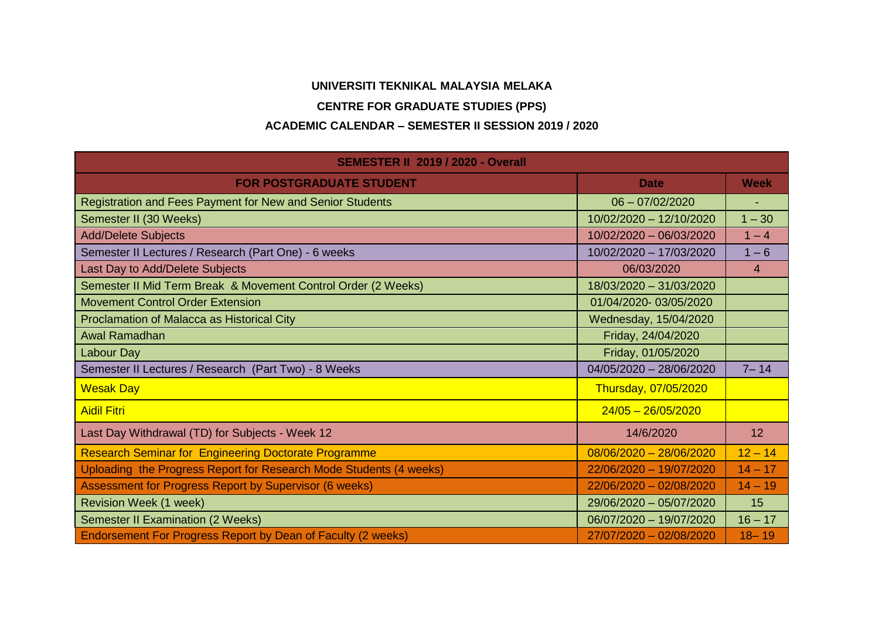## **UNIVERSITI TEKNIKAL MALAYSIA MELAKA**

## **CENTRE FOR GRADUATE STUDIES (PPS)**

## **ACADEMIC CALENDAR – SEMESTER II SESSION 2019 / 2020**

| <b>SEMESTER II 2019 / 2020 - Overall</b>                           |                           |                 |
|--------------------------------------------------------------------|---------------------------|-----------------|
| <b>FOR POSTGRADUATE STUDENT</b>                                    | <b>Date</b>               | <b>Week</b>     |
| Registration and Fees Payment for New and Senior Students          | $06 - 07/02/2020$         |                 |
| Semester II (30 Weeks)                                             | 10/02/2020 - 12/10/2020   | $1 - 30$        |
| <b>Add/Delete Subjects</b>                                         | 10/02/2020 - 06/03/2020   | $1 - 4$         |
| Semester II Lectures / Research (Part One) - 6 weeks               | 10/02/2020 - 17/03/2020   | $1 - 6$         |
| Last Day to Add/Delete Subjects                                    | 06/03/2020                | 4               |
| Semester II Mid Term Break & Movement Control Order (2 Weeks)      | 18/03/2020 - 31/03/2020   |                 |
| <b>Movement Control Order Extension</b>                            | 01/04/2020-03/05/2020     |                 |
| Proclamation of Malacca as Historical City                         | Wednesday, 15/04/2020     |                 |
| Awal Ramadhan                                                      | Friday, 24/04/2020        |                 |
| <b>Labour Day</b>                                                  | Friday, 01/05/2020        |                 |
| Semester II Lectures / Research (Part Two) - 8 Weeks               | 04/05/2020 - 28/06/2020   | $7 - 14$        |
| <b>Wesak Day</b>                                                   | Thursday, 07/05/2020      |                 |
| <b>Aidil Fitri</b>                                                 | $24/05 - 26/05/2020$      |                 |
| Last Day Withdrawal (TD) for Subjects - Week 12                    | 14/6/2020                 | 12 <sup>2</sup> |
| <b>Research Seminar for Engineering Doctorate Programme</b>        | $08/06/2020 - 28/06/2020$ | $12 - 14$       |
| Uploading the Progress Report for Research Mode Students (4 weeks) | 22/06/2020 - 19/07/2020   | $14 - 17$       |
| Assessment for Progress Report by Supervisor (6 weeks)             | 22/06/2020 - 02/08/2020   | $14 - 19$       |
| <b>Revision Week (1 week)</b>                                      | 29/06/2020 - 05/07/2020   | 15              |
| <b>Semester II Examination (2 Weeks)</b>                           | 06/07/2020 - 19/07/2020   | $16 - 17$       |
| Endorsement For Progress Report by Dean of Faculty (2 weeks)       | 27/07/2020 - 02/08/2020   | $18 - 19$       |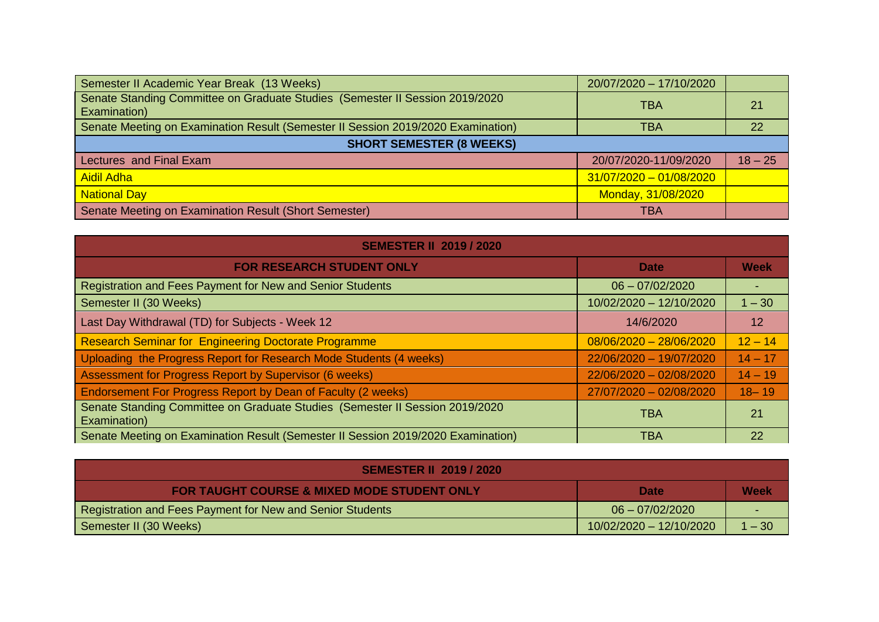| Semester II Academic Year Break (13 Weeks)                                                   | 20/07/2020 - 17/10/2020   |           |
|----------------------------------------------------------------------------------------------|---------------------------|-----------|
| Senate Standing Committee on Graduate Studies (Semester II Session 2019/2020<br>Examination) | TBA                       | 21        |
| Senate Meeting on Examination Result (Semester II Session 2019/2020 Examination)             | TBA                       | 22        |
| <b>SHORT SEMESTER (8 WEEKS)</b>                                                              |                           |           |
| Lectures and Final Exam                                                                      | 20/07/2020-11/09/2020     | $18 - 25$ |
| <b>Aidil Adha</b>                                                                            | $31/07/2020 - 01/08/2020$ |           |
| <b>National Day</b>                                                                          | Monday, 31/08/2020        |           |
| Senate Meeting on Examination Result (Short Semester)                                        | TBA                       |           |

| <b>SEMESTER II 2019 / 2020</b>                                                               |                           |           |  |
|----------------------------------------------------------------------------------------------|---------------------------|-----------|--|
| <b>FOR RESEARCH STUDENT ONLY</b>                                                             | <b>Date</b>               | Week      |  |
| Registration and Fees Payment for New and Senior Students                                    | $06 - 07/02/2020$         |           |  |
| Semester II (30 Weeks)                                                                       | 10/02/2020 - 12/10/2020   | $1 - 30$  |  |
| Last Day Withdrawal (TD) for Subjects - Week 12                                              | 14/6/2020                 | 12        |  |
| <b>Research Seminar for Engineering Doctorate Programme</b>                                  | $08/06/2020 - 28/06/2020$ | $12 - 14$ |  |
| Uploading the Progress Report for Research Mode Students (4 weeks)                           | 22/06/2020 - 19/07/2020   | $14 - 17$ |  |
| Assessment for Progress Report by Supervisor (6 weeks)                                       | 22/06/2020 - 02/08/2020   | $14 - 19$ |  |
| Endorsement For Progress Report by Dean of Faculty (2 weeks)                                 | 27/07/2020 - 02/08/2020   | $18 - 19$ |  |
| Senate Standing Committee on Graduate Studies (Semester II Session 2019/2020<br>Examination) | <b>TBA</b>                | 21        |  |
| Senate Meeting on Examination Result (Semester II Session 2019/2020 Examination)             | <b>TBA</b>                | 22        |  |

| <b>SEMESTER II 2019 / 2020</b>                            |                         |        |  |
|-----------------------------------------------------------|-------------------------|--------|--|
| <b>FOR TAUGHT COURSE &amp; MIXED MODE STUDENT ONLY</b>    | <b>Date</b>             | Week   |  |
| Registration and Fees Payment for New and Senior Students | $06 - 07/02/2020$       |        |  |
| Semester II (30 Weeks)                                    | 10/02/2020 - 12/10/2020 | 1 – 30 |  |